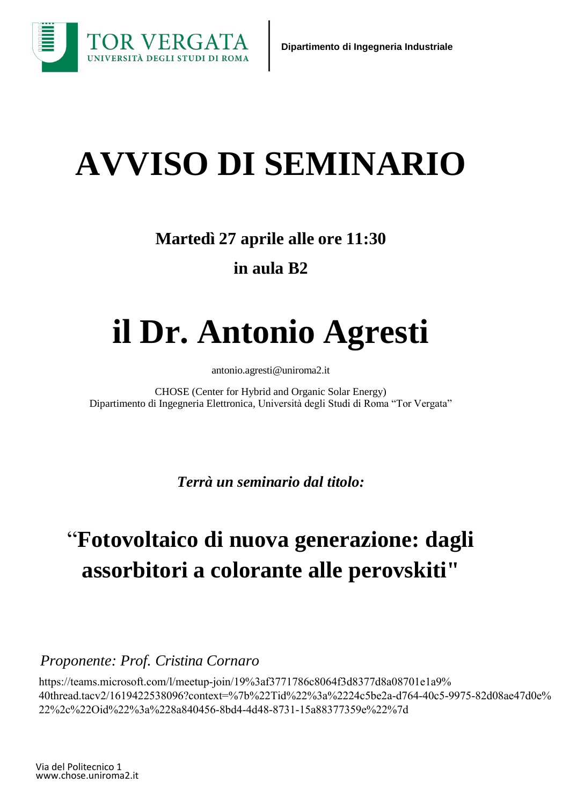

# **AVVISO DI SEMINARIO**

### **Martedì 27 aprile alle ore 11:30 in aula B2**

## **il Dr. Antonio Agresti**

[antonio.agresti@uniroma2.it](mailto:cedric.tard@polytechnique.edu)

CHOSE (Center for Hybrid and Organic Solar Energy) Dipartimento di Ingegneria Elettronica, Università degli Studi di Roma "Tor Vergata"

*Terrà un seminario dal titolo:*

## "**Fotovoltaico di nuova generazione: dagli assorbitori a colorante alle perovskiti"**

*Proponente: Prof. Cristina Cornaro*

https://teams.microsoft.com/l/meetup-join/19%3af3771786c8064f3d8377d8a08701e1a9% 40thread.tacv2/1619422538096?context=%7b%22Tid%22%3a%2224c5be2a-d764-40c5-9975-82d08ae47d0e% 22%2c%22Oid%22%3a%228a840456-8bd4-4d48-8731-15a88377359e%22%7d